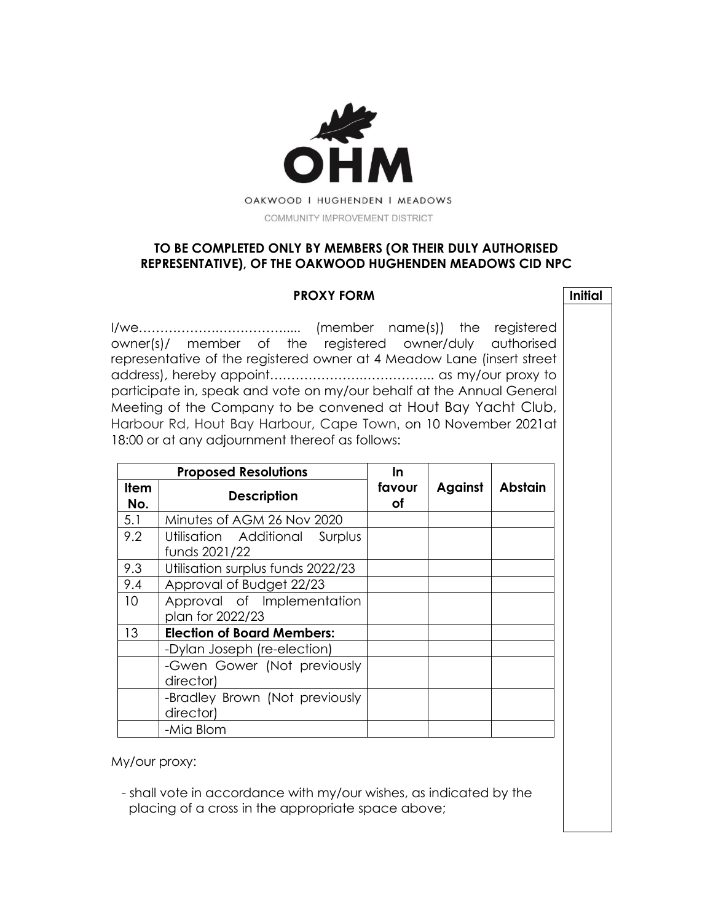

## **TO BE COMPLETED ONLY BY MEMBERS (OR THEIR DULY AUTHORISED REPRESENTATIVE), OF THE OAKWOOD HUGHENDEN MEADOWS CID NPC**

## **PROXY FORM Initial**

I/we……………….……………..... (member name(s)) the registered owner(s)/ member of the registered owner/duly authorised representative of the registered owner at 4 Meadow Lane (insert street address), hereby appoint………………….…………….. as my/our proxy to participate in, speak and vote on my/our behalf at the Annual General Meeting of the Company to be convened at Hout Bay Yacht Club, Harbour Rd, Hout Bay Harbour, Cape Town, on 10 November 2021at 18:00 or at any adjournment thereof as follows:

| <b>Proposed Resolutions</b> |                                                    | <u>In</u>    |         |                |
|-----------------------------|----------------------------------------------------|--------------|---------|----------------|
| <b>Item</b><br>No.          | <b>Description</b>                                 | favour<br>οf | Against | <b>Abstain</b> |
| 5.1                         | Minutes of AGM 26 Nov 2020                         |              |         |                |
| 9.2                         | Utilisation Additional<br>Surplus<br>funds 2021/22 |              |         |                |
| 9.3                         | Utilisation surplus funds 2022/23                  |              |         |                |
| 9.4                         | Approval of Budget 22/23                           |              |         |                |
| 10 <sup>°</sup>             | Approval of Implementation<br>plan for 2022/23     |              |         |                |
| 13                          | <b>Election of Board Members:</b>                  |              |         |                |
|                             | -Dylan Joseph (re-election)                        |              |         |                |
|                             | -Gwen Gower (Not previously<br>director)           |              |         |                |
|                             | -Bradley Brown (Not previously<br>director)        |              |         |                |
|                             | -Mia Blom                                          |              |         |                |

My/our proxy:

 - shall vote in accordance with my/our wishes, as indicated by the placing of a cross in the appropriate space above;